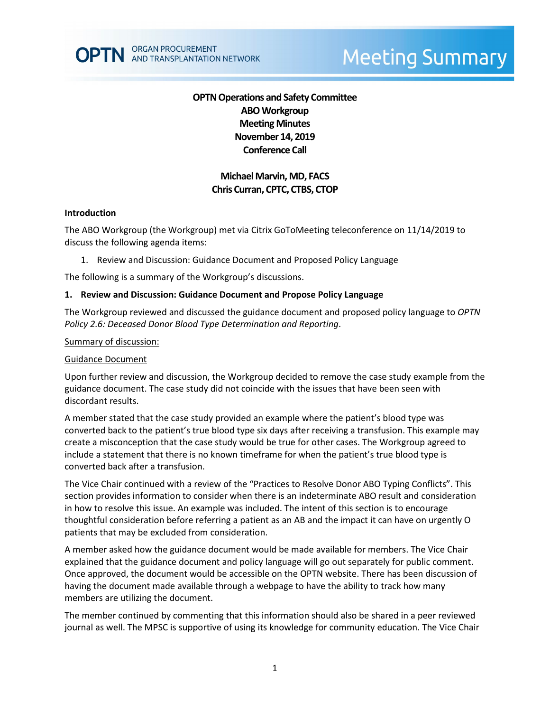# **OPTN Operations and Safety Committee ABO Workgroup Meeting Minutes November 14, 2019 Conference Call**

# **Michael Marvin, MD, FACS Chris Curran, CPTC, CTBS, CTOP**

#### **Introduction**

The ABO Workgroup (the Workgroup) met via Citrix GoToMeeting teleconference on 11/14/2019 to discuss the following agenda items:

1. Review and Discussion: Guidance Document and Proposed Policy Language

The following is a summary of the Workgroup's discussions.

### **1. Review and Discussion: Guidance Document and Propose Policy Language**

The Workgroup reviewed and discussed the guidance document and proposed policy language to *OPTN Policy 2.6: Deceased Donor Blood Type Determination and Reporting*.

#### Summary of discussion:

#### Guidance Document

Upon further review and discussion, the Workgroup decided to remove the case study example from the guidance document. The case study did not coincide with the issues that have been seen with discordant results.

A member stated that the case study provided an example where the patient's blood type was converted back to the patient's true blood type six days after receiving a transfusion. This example may create a misconception that the case study would be true for other cases. The Workgroup agreed to include a statement that there is no known timeframe for when the patient's true blood type is converted back after a transfusion.

The Vice Chair continued with a review of the "Practices to Resolve Donor ABO Typing Conflicts". This section provides information to consider when there is an indeterminate ABO result and consideration in how to resolve this issue. An example was included. The intent of this section is to encourage thoughtful consideration before referring a patient as an AB and the impact it can have on urgently O patients that may be excluded from consideration.

A member asked how the guidance document would be made available for members. The Vice Chair explained that the guidance document and policy language will go out separately for public comment. Once approved, the document would be accessible on the OPTN website. There has been discussion of having the document made available through a webpage to have the ability to track how many members are utilizing the document.

The member continued by commenting that this information should also be shared in a peer reviewed journal as well. The MPSC is supportive of using its knowledge for community education. The Vice Chair